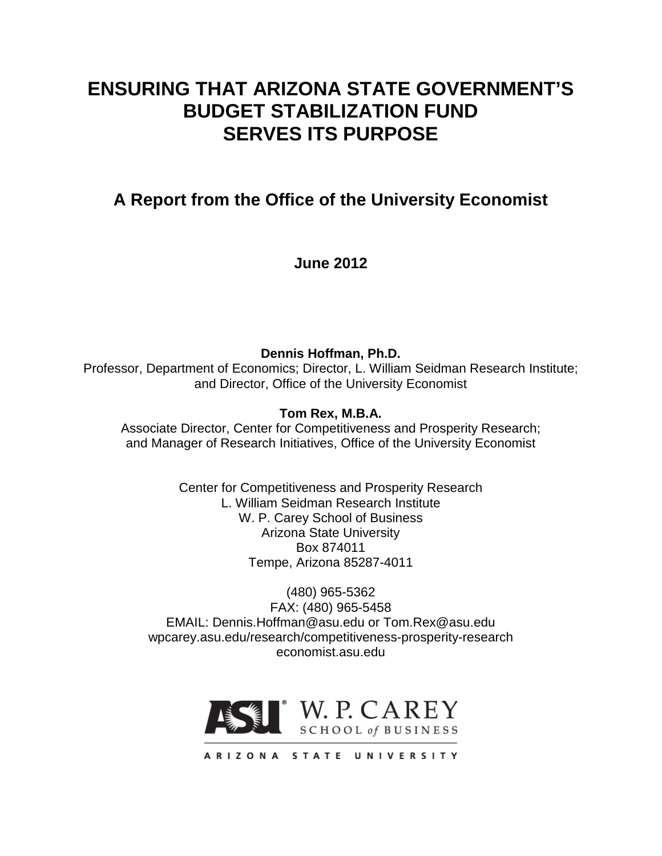# **ENSURING THAT ARIZONA STATE GOVERNMENT'S BUDGET STABILIZATION FUND SERVES ITS PURPOSE**

**A Report from the Office of the University Economist**

**June 2012**

**Dennis Hoffman, Ph.D.** Professor, Department of Economics; Director, L. William Seidman Research Institute; and Director, Office of the University Economist

**Tom Rex, M.B.A.**

Associate Director, Center for Competitiveness and Prosperity Research; and Manager of Research Initiatives, Office of the University Economist

> Center for Competitiveness and Prosperity Research L. William Seidman Research Institute W. P. Carey School of Business Arizona State University Box 874011 Tempe, Arizona 85287-4011

(480) 965-5362 FAX: (480) 965-5458 EMAIL: Dennis.Hoffman@asu.edu or Tom.Rex@asu.edu wpcarey.asu.edu/research/competitiveness-prosperity-research economist.asu.edu



ARIZONA STATE UNIVERSITY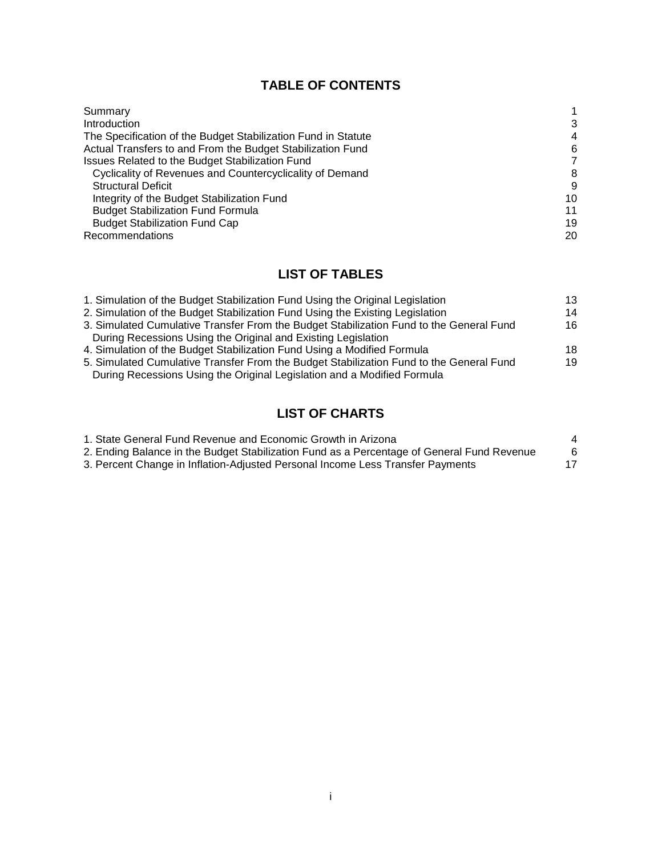# **TABLE OF CONTENTS**

| Summary                                                       |    |
|---------------------------------------------------------------|----|
| Introduction                                                  | 3  |
| The Specification of the Budget Stabilization Fund in Statute | 4  |
| Actual Transfers to and From the Budget Stabilization Fund    | 6  |
| Issues Related to the Budget Stabilization Fund               | 7  |
| Cyclicality of Revenues and Countercyclicality of Demand      | 8  |
| <b>Structural Deficit</b>                                     | 9  |
| Integrity of the Budget Stabilization Fund                    | 10 |
| <b>Budget Stabilization Fund Formula</b>                      | 11 |
| <b>Budget Stabilization Fund Cap</b>                          | 19 |
| Recommendations                                               | 20 |

# **LIST OF TABLES**

| 1. Simulation of the Budget Stabilization Fund Using the Original Legislation           | 13 |
|-----------------------------------------------------------------------------------------|----|
| 2. Simulation of the Budget Stabilization Fund Using the Existing Legislation           | 14 |
| 3. Simulated Cumulative Transfer From the Budget Stabilization Fund to the General Fund | 16 |
| During Recessions Using the Original and Existing Legislation                           |    |
| 4. Simulation of the Budget Stabilization Fund Using a Modified Formula                 | 18 |
| 5. Simulated Cumulative Transfer From the Budget Stabilization Fund to the General Fund | 19 |
| During Recessions Using the Original Legislation and a Modified Formula                 |    |
|                                                                                         |    |

# **LIST OF CHARTS**

| 1. State General Fund Revenue and Economic Growth in Arizona                               |   |
|--------------------------------------------------------------------------------------------|---|
| 2. Ending Balance in the Budget Stabilization Fund as a Percentage of General Fund Revenue | 6 |
| 3. Percent Change in Inflation-Adjusted Personal Income Less Transfer Payments             |   |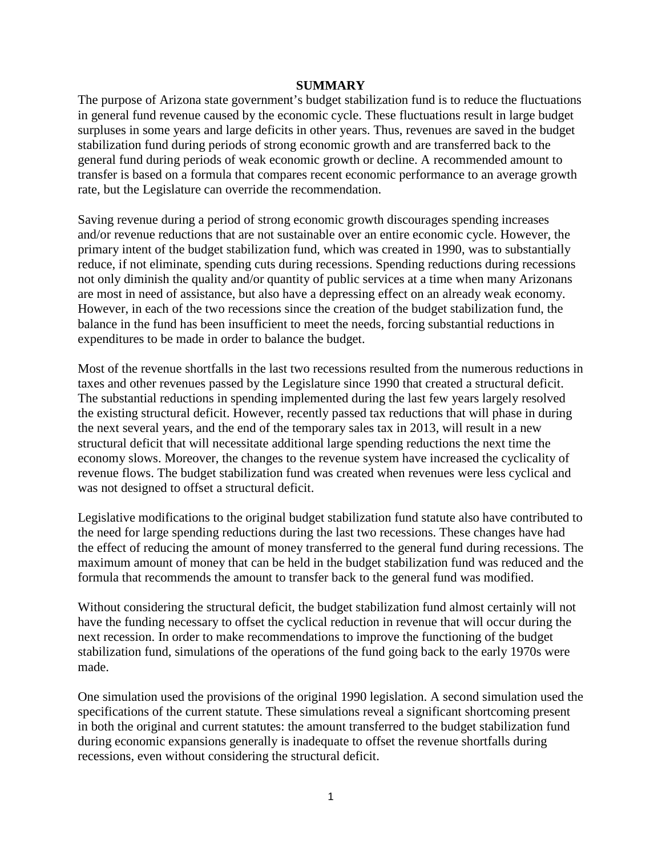#### **SUMMARY**

The purpose of Arizona state government's budget stabilization fund is to reduce the fluctuations in general fund revenue caused by the economic cycle. These fluctuations result in large budget surpluses in some years and large deficits in other years. Thus, revenues are saved in the budget stabilization fund during periods of strong economic growth and are transferred back to the general fund during periods of weak economic growth or decline. A recommended amount to transfer is based on a formula that compares recent economic performance to an average growth rate, but the Legislature can override the recommendation.

Saving revenue during a period of strong economic growth discourages spending increases and/or revenue reductions that are not sustainable over an entire economic cycle. However, the primary intent of the budget stabilization fund, which was created in 1990, was to substantially reduce, if not eliminate, spending cuts during recessions. Spending reductions during recessions not only diminish the quality and/or quantity of public services at a time when many Arizonans are most in need of assistance, but also have a depressing effect on an already weak economy. However, in each of the two recessions since the creation of the budget stabilization fund, the balance in the fund has been insufficient to meet the needs, forcing substantial reductions in expenditures to be made in order to balance the budget.

Most of the revenue shortfalls in the last two recessions resulted from the numerous reductions in taxes and other revenues passed by the Legislature since 1990 that created a structural deficit. The substantial reductions in spending implemented during the last few years largely resolved the existing structural deficit. However, recently passed tax reductions that will phase in during the next several years, and the end of the temporary sales tax in 2013, will result in a new structural deficit that will necessitate additional large spending reductions the next time the economy slows. Moreover, the changes to the revenue system have increased the cyclicality of revenue flows. The budget stabilization fund was created when revenues were less cyclical and was not designed to offset a structural deficit.

Legislative modifications to the original budget stabilization fund statute also have contributed to the need for large spending reductions during the last two recessions. These changes have had the effect of reducing the amount of money transferred to the general fund during recessions. The maximum amount of money that can be held in the budget stabilization fund was reduced and the formula that recommends the amount to transfer back to the general fund was modified.

Without considering the structural deficit, the budget stabilization fund almost certainly will not have the funding necessary to offset the cyclical reduction in revenue that will occur during the next recession. In order to make recommendations to improve the functioning of the budget stabilization fund, simulations of the operations of the fund going back to the early 1970s were made.

One simulation used the provisions of the original 1990 legislation. A second simulation used the specifications of the current statute. These simulations reveal a significant shortcoming present in both the original and current statutes: the amount transferred to the budget stabilization fund during economic expansions generally is inadequate to offset the revenue shortfalls during recessions, even without considering the structural deficit.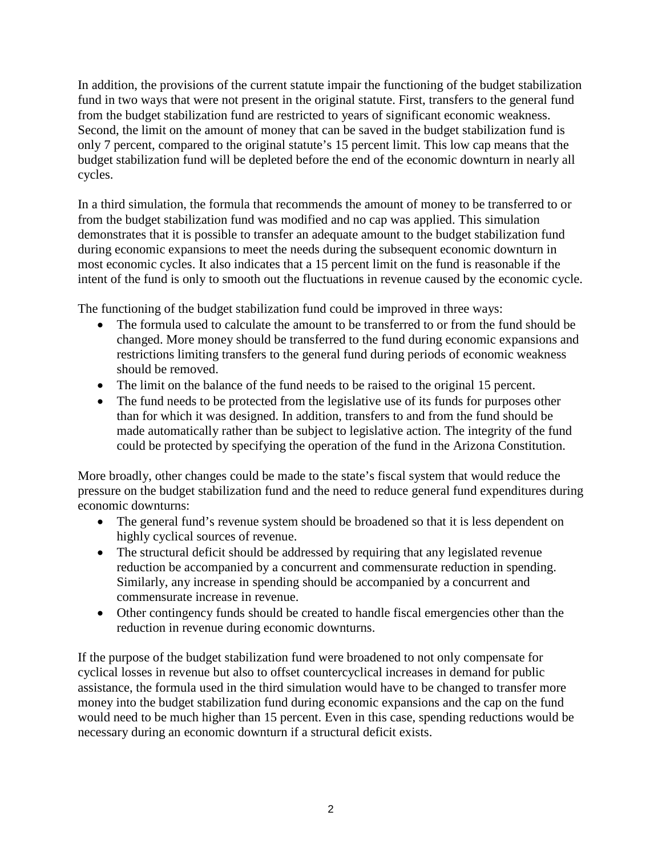In addition, the provisions of the current statute impair the functioning of the budget stabilization fund in two ways that were not present in the original statute. First, transfers to the general fund from the budget stabilization fund are restricted to years of significant economic weakness. Second, the limit on the amount of money that can be saved in the budget stabilization fund is only 7 percent, compared to the original statute's 15 percent limit. This low cap means that the budget stabilization fund will be depleted before the end of the economic downturn in nearly all cycles.

In a third simulation, the formula that recommends the amount of money to be transferred to or from the budget stabilization fund was modified and no cap was applied. This simulation demonstrates that it is possible to transfer an adequate amount to the budget stabilization fund during economic expansions to meet the needs during the subsequent economic downturn in most economic cycles. It also indicates that a 15 percent limit on the fund is reasonable if the intent of the fund is only to smooth out the fluctuations in revenue caused by the economic cycle.

The functioning of the budget stabilization fund could be improved in three ways:

- The formula used to calculate the amount to be transferred to or from the fund should be changed. More money should be transferred to the fund during economic expansions and restrictions limiting transfers to the general fund during periods of economic weakness should be removed.
- The limit on the balance of the fund needs to be raised to the original 15 percent.
- The fund needs to be protected from the legislative use of its funds for purposes other than for which it was designed. In addition, transfers to and from the fund should be made automatically rather than be subject to legislative action. The integrity of the fund could be protected by specifying the operation of the fund in the Arizona Constitution.

More broadly, other changes could be made to the state's fiscal system that would reduce the pressure on the budget stabilization fund and the need to reduce general fund expenditures during economic downturns:

- The general fund's revenue system should be broadened so that it is less dependent on highly cyclical sources of revenue.
- The structural deficit should be addressed by requiring that any legislated revenue reduction be accompanied by a concurrent and commensurate reduction in spending. Similarly, any increase in spending should be accompanied by a concurrent and commensurate increase in revenue.
- Other contingency funds should be created to handle fiscal emergencies other than the reduction in revenue during economic downturns.

If the purpose of the budget stabilization fund were broadened to not only compensate for cyclical losses in revenue but also to offset countercyclical increases in demand for public assistance, the formula used in the third simulation would have to be changed to transfer more money into the budget stabilization fund during economic expansions and the cap on the fund would need to be much higher than 15 percent. Even in this case, spending reductions would be necessary during an economic downturn if a structural deficit exists.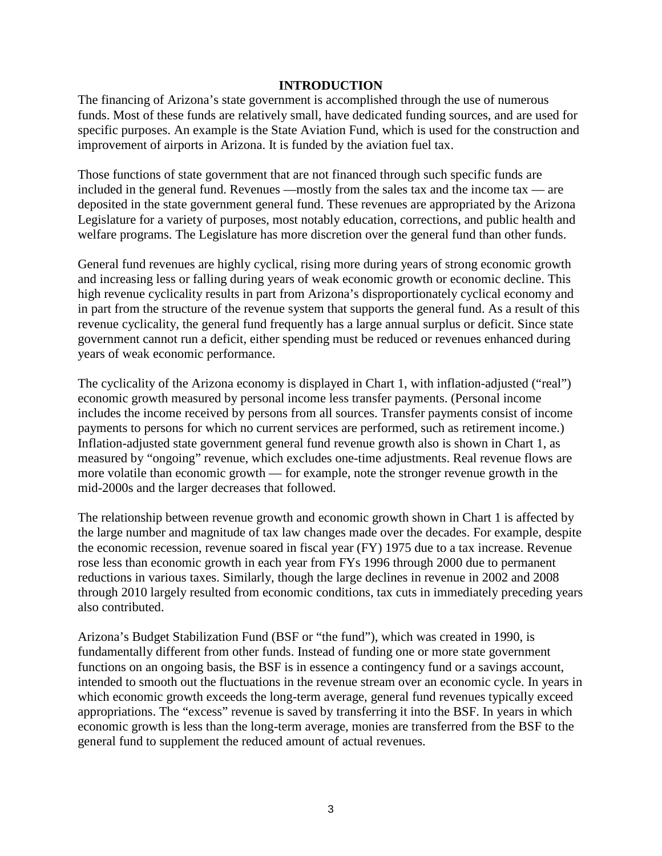#### **INTRODUCTION**

The financing of Arizona's state government is accomplished through the use of numerous funds. Most of these funds are relatively small, have dedicated funding sources, and are used for specific purposes. An example is the State Aviation Fund, which is used for the construction and improvement of airports in Arizona. It is funded by the aviation fuel tax.

Those functions of state government that are not financed through such specific funds are included in the general fund. Revenues —mostly from the sales tax and the income tax — are deposited in the state government general fund. These revenues are appropriated by the Arizona Legislature for a variety of purposes, most notably education, corrections, and public health and welfare programs. The Legislature has more discretion over the general fund than other funds.

General fund revenues are highly cyclical, rising more during years of strong economic growth and increasing less or falling during years of weak economic growth or economic decline. This high revenue cyclicality results in part from Arizona's disproportionately cyclical economy and in part from the structure of the revenue system that supports the general fund. As a result of this revenue cyclicality, the general fund frequently has a large annual surplus or deficit. Since state government cannot run a deficit, either spending must be reduced or revenues enhanced during years of weak economic performance.

The cyclicality of the Arizona economy is displayed in Chart 1, with inflation-adjusted ("real") economic growth measured by personal income less transfer payments. (Personal income includes the income received by persons from all sources. Transfer payments consist of income payments to persons for which no current services are performed, such as retirement income.) Inflation-adjusted state government general fund revenue growth also is shown in Chart 1, as measured by "ongoing" revenue, which excludes one-time adjustments. Real revenue flows are more volatile than economic growth — for example, note the stronger revenue growth in the mid-2000s and the larger decreases that followed.

The relationship between revenue growth and economic growth shown in Chart 1 is affected by the large number and magnitude of tax law changes made over the decades. For example, despite the economic recession, revenue soared in fiscal year (FY) 1975 due to a tax increase. Revenue rose less than economic growth in each year from FYs 1996 through 2000 due to permanent reductions in various taxes. Similarly, though the large declines in revenue in 2002 and 2008 through 2010 largely resulted from economic conditions, tax cuts in immediately preceding years also contributed.

Arizona's Budget Stabilization Fund (BSF or "the fund"), which was created in 1990, is fundamentally different from other funds. Instead of funding one or more state government functions on an ongoing basis, the BSF is in essence a contingency fund or a savings account, intended to smooth out the fluctuations in the revenue stream over an economic cycle. In years in which economic growth exceeds the long-term average, general fund revenues typically exceed appropriations. The "excess" revenue is saved by transferring it into the BSF. In years in which economic growth is less than the long-term average, monies are transferred from the BSF to the general fund to supplement the reduced amount of actual revenues.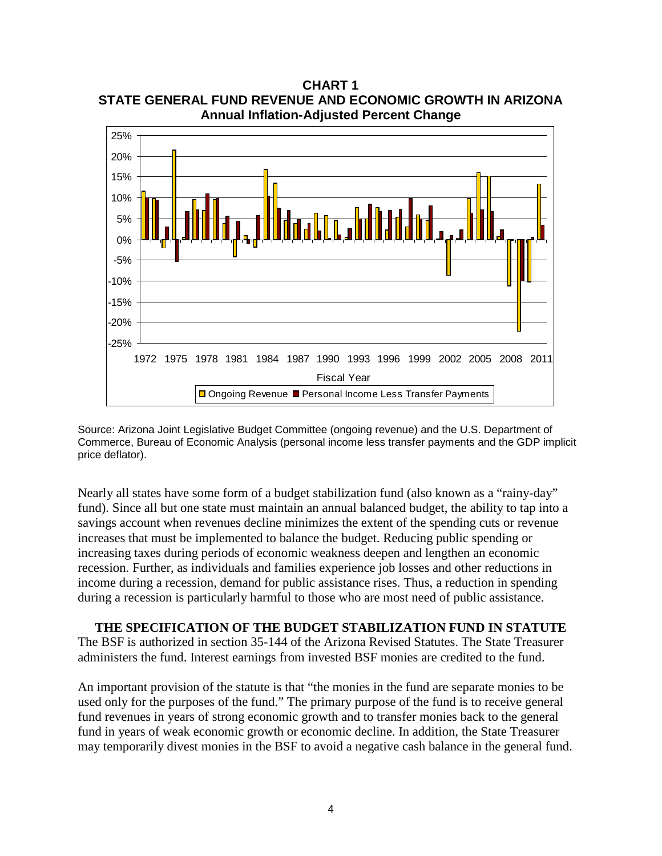**Annual Inflation-Adjusted Percent Change** -25% -20% -15% -10% -5% 0% 5% 10% 15% 20% 25% 1972 1975 1978 1981 1984 1987 1990 1993 1996 1999 2002 2005 2008 2011 Fiscal Year □ Ongoing Revenue ■ Personal Income Less Transfer Payments

**CHART 1 STATE GENERAL FUND REVENUE AND ECONOMIC GROWTH IN ARIZONA**

Source: Arizona Joint Legislative Budget Committee (ongoing revenue) and the U.S. Department of Commerce, Bureau of Economic Analysis (personal income less transfer payments and the GDP implicit price deflator).

Nearly all states have some form of a budget stabilization fund (also known as a "rainy-day" fund). Since all but one state must maintain an annual balanced budget, the ability to tap into a savings account when revenues decline minimizes the extent of the spending cuts or revenue increases that must be implemented to balance the budget. Reducing public spending or increasing taxes during periods of economic weakness deepen and lengthen an economic recession. Further, as individuals and families experience job losses and other reductions in income during a recession, demand for public assistance rises. Thus, a reduction in spending during a recession is particularly harmful to those who are most need of public assistance.

**THE SPECIFICATION OF THE BUDGET STABILIZATION FUND IN STATUTE** The BSF is authorized in section 35-144 of the Arizona Revised Statutes. The State Treasurer administers the fund. Interest earnings from invested BSF monies are credited to the fund.

An important provision of the statute is that "the monies in the fund are separate monies to be used only for the purposes of the fund." The primary purpose of the fund is to receive general fund revenues in years of strong economic growth and to transfer monies back to the general fund in years of weak economic growth or economic decline. In addition, the State Treasurer may temporarily divest monies in the BSF to avoid a negative cash balance in the general fund.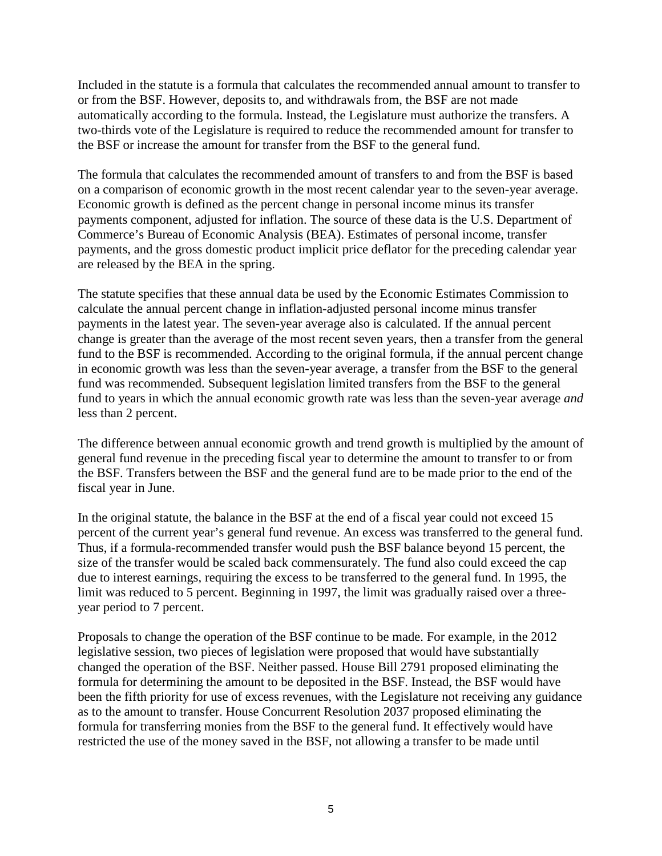Included in the statute is a formula that calculates the recommended annual amount to transfer to or from the BSF. However, deposits to, and withdrawals from, the BSF are not made automatically according to the formula. Instead, the Legislature must authorize the transfers. A two-thirds vote of the Legislature is required to reduce the recommended amount for transfer to the BSF or increase the amount for transfer from the BSF to the general fund.

The formula that calculates the recommended amount of transfers to and from the BSF is based on a comparison of economic growth in the most recent calendar year to the seven-year average. Economic growth is defined as the percent change in personal income minus its transfer payments component, adjusted for inflation. The source of these data is the U.S. Department of Commerce's Bureau of Economic Analysis (BEA). Estimates of personal income, transfer payments, and the gross domestic product implicit price deflator for the preceding calendar year are released by the BEA in the spring.

The statute specifies that these annual data be used by the Economic Estimates Commission to calculate the annual percent change in inflation-adjusted personal income minus transfer payments in the latest year. The seven-year average also is calculated. If the annual percent change is greater than the average of the most recent seven years, then a transfer from the general fund to the BSF is recommended. According to the original formula, if the annual percent change in economic growth was less than the seven-year average, a transfer from the BSF to the general fund was recommended. Subsequent legislation limited transfers from the BSF to the general fund to years in which the annual economic growth rate was less than the seven-year average *and* less than 2 percent.

The difference between annual economic growth and trend growth is multiplied by the amount of general fund revenue in the preceding fiscal year to determine the amount to transfer to or from the BSF. Transfers between the BSF and the general fund are to be made prior to the end of the fiscal year in June.

In the original statute, the balance in the BSF at the end of a fiscal year could not exceed 15 percent of the current year's general fund revenue. An excess was transferred to the general fund. Thus, if a formula-recommended transfer would push the BSF balance beyond 15 percent, the size of the transfer would be scaled back commensurately. The fund also could exceed the cap due to interest earnings, requiring the excess to be transferred to the general fund. In 1995, the limit was reduced to 5 percent. Beginning in 1997, the limit was gradually raised over a threeyear period to 7 percent.

Proposals to change the operation of the BSF continue to be made. For example, in the 2012 legislative session, two pieces of legislation were proposed that would have substantially changed the operation of the BSF. Neither passed. House Bill 2791 proposed eliminating the formula for determining the amount to be deposited in the BSF. Instead, the BSF would have been the fifth priority for use of excess revenues, with the Legislature not receiving any guidance as to the amount to transfer. House Concurrent Resolution 2037 proposed eliminating the formula for transferring monies from the BSF to the general fund. It effectively would have restricted the use of the money saved in the BSF, not allowing a transfer to be made until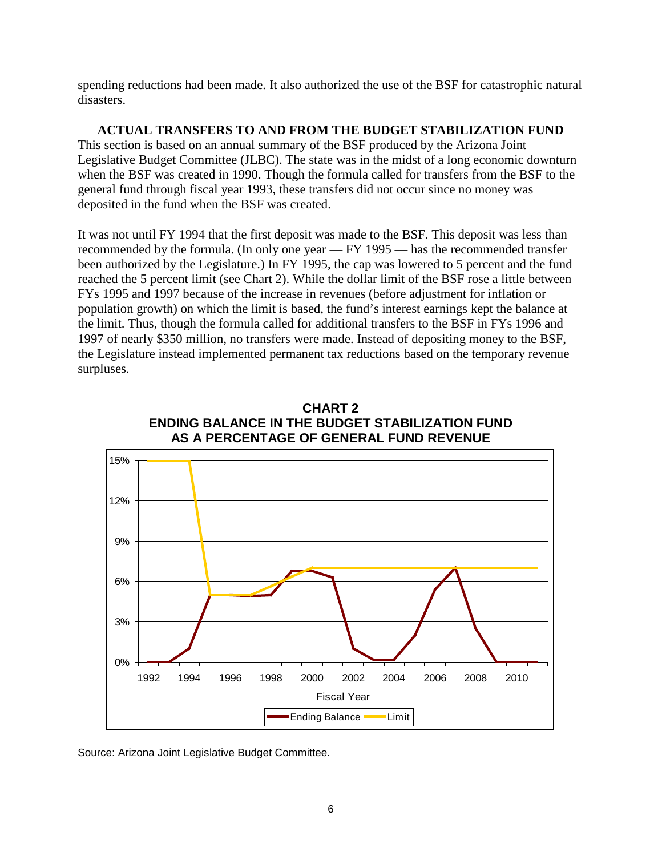spending reductions had been made. It also authorized the use of the BSF for catastrophic natural disasters.

**ACTUAL TRANSFERS TO AND FROM THE BUDGET STABILIZATION FUND** This section is based on an annual summary of the BSF produced by the Arizona Joint Legislative Budget Committee (JLBC). The state was in the midst of a long economic downturn when the BSF was created in 1990. Though the formula called for transfers from the BSF to the general fund through fiscal year 1993, these transfers did not occur since no money was deposited in the fund when the BSF was created.

It was not until FY 1994 that the first deposit was made to the BSF. This deposit was less than recommended by the formula. (In only one year — FY 1995 — has the recommended transfer been authorized by the Legislature.) In FY 1995, the cap was lowered to 5 percent and the fund reached the 5 percent limit (see Chart 2). While the dollar limit of the BSF rose a little between FYs 1995 and 1997 because of the increase in revenues (before adjustment for inflation or population growth) on which the limit is based, the fund's interest earnings kept the balance at the limit. Thus, though the formula called for additional transfers to the BSF in FYs 1996 and 1997 of nearly \$350 million, no transfers were made. Instead of depositing money to the BSF, the Legislature instead implemented permanent tax reductions based on the temporary revenue surpluses.





Source: Arizona Joint Legislative Budget Committee.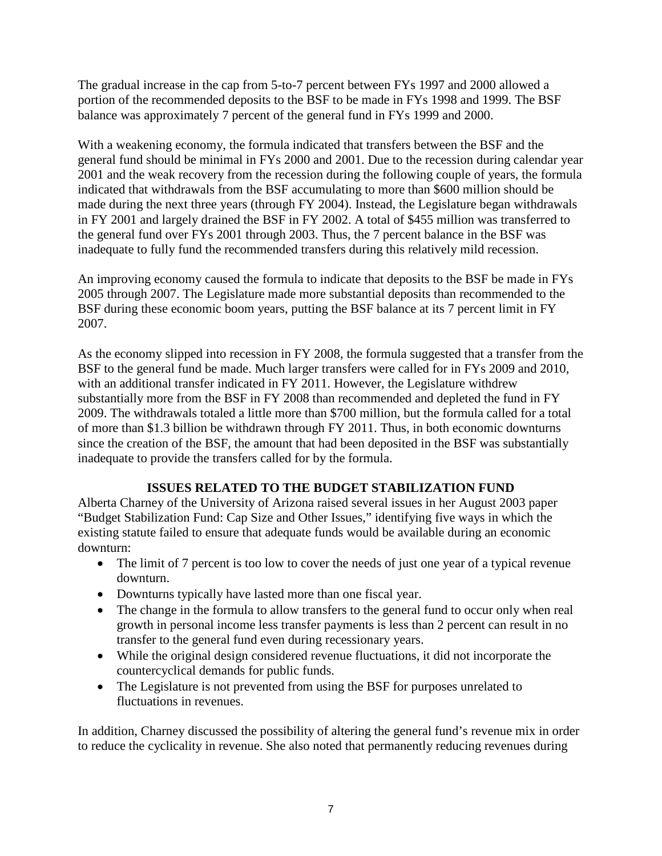The gradual increase in the cap from 5-to-7 percent between FYs 1997 and 2000 allowed a portion of the recommended deposits to the BSF to be made in FYs 1998 and 1999. The BSF balance was approximately 7 percent of the general fund in FYs 1999 and 2000.

With a weakening economy, the formula indicated that transfers between the BSF and the general fund should be minimal in FYs 2000 and 2001. Due to the recession during calendar year 2001 and the weak recovery from the recession during the following couple of years, the formula indicated that withdrawals from the BSF accumulating to more than \$600 million should be made during the next three years (through FY 2004). Instead, the Legislature began withdrawals in FY 2001 and largely drained the BSF in FY 2002. A total of \$455 million was transferred to the general fund over FYs 2001 through 2003. Thus, the 7 percent balance in the BSF was inadequate to fully fund the recommended transfers during this relatively mild recession.

An improving economy caused the formula to indicate that deposits to the BSF be made in FYs 2005 through 2007. The Legislature made more substantial deposits than recommended to the BSF during these economic boom years, putting the BSF balance at its 7 percent limit in FY 2007.

As the economy slipped into recession in FY 2008, the formula suggested that a transfer from the BSF to the general fund be made. Much larger transfers were called for in FYs 2009 and 2010, with an additional transfer indicated in FY 2011. However, the Legislature withdrew substantially more from the BSF in FY 2008 than recommended and depleted the fund in FY 2009. The withdrawals totaled a little more than \$700 million, but the formula called for a total of more than \$1.3 billion be withdrawn through FY 2011. Thus, in both economic downturns since the creation of the BSF, the amount that had been deposited in the BSF was substantially inadequate to provide the transfers called for by the formula.

## **ISSUES RELATED TO THE BUDGET STABILIZATION FUND**

Alberta Charney of the University of Arizona raised several issues in her August 2003 paper "Budget Stabilization Fund: Cap Size and Other Issues," identifying five ways in which the existing statute failed to ensure that adequate funds would be available during an economic downturn:

- The limit of 7 percent is too low to cover the needs of just one year of a typical revenue downturn.
- Downturns typically have lasted more than one fiscal year.
- The change in the formula to allow transfers to the general fund to occur only when real growth in personal income less transfer payments is less than 2 percent can result in no transfer to the general fund even during recessionary years.
- While the original design considered revenue fluctuations, it did not incorporate the countercyclical demands for public funds.
- The Legislature is not prevented from using the BSF for purposes unrelated to fluctuations in revenues.

In addition, Charney discussed the possibility of altering the general fund's revenue mix in order to reduce the cyclicality in revenue. She also noted that permanently reducing revenues during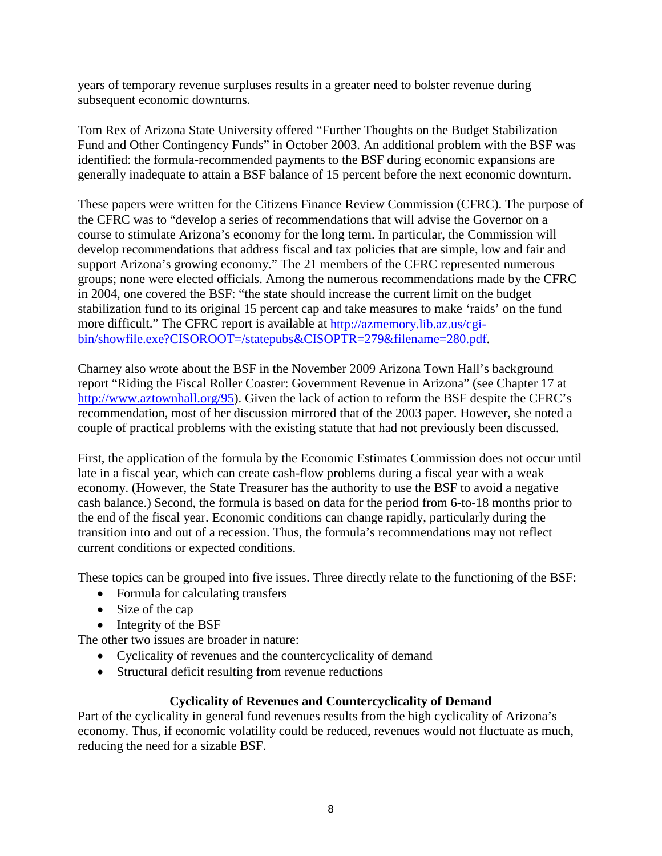years of temporary revenue surpluses results in a greater need to bolster revenue during subsequent economic downturns.

Tom Rex of Arizona State University offered "Further Thoughts on the Budget Stabilization Fund and Other Contingency Funds" in October 2003. An additional problem with the BSF was identified: the formula-recommended payments to the BSF during economic expansions are generally inadequate to attain a BSF balance of 15 percent before the next economic downturn.

These papers were written for the Citizens Finance Review Commission (CFRC). The purpose of the CFRC was to "develop a series of recommendations that will advise the Governor on a course to stimulate Arizona's economy for the long term. In particular, the Commission will develop recommendations that address fiscal and tax policies that are simple, low and fair and support Arizona's growing economy." The 21 members of the CFRC represented numerous groups; none were elected officials. Among the numerous recommendations made by the CFRC in 2004, one covered the BSF: "the state should increase the current limit on the budget stabilization fund to its original 15 percent cap and take measures to make 'raids' on the fund more difficult." The CFRC report is available at [http://azmemory.lib.az.us/cgi](http://azmemory.lib.az.us/cgi-bin/showfile.exe?CISOROOT=/statepubs&CISOPTR=279&filename=280.pdf)[bin/showfile.exe?CISOROOT=/statepubs&CISOPTR=279&filename=280.pdf.](http://azmemory.lib.az.us/cgi-bin/showfile.exe?CISOROOT=/statepubs&CISOPTR=279&filename=280.pdf)

Charney also wrote about the BSF in the November 2009 Arizona Town Hall's background report "Riding the Fiscal Roller Coaster: Government Revenue in Arizona" (see Chapter 17 at [http://www.aztownhall.org/95\)](http://www.aztownhall.org/95). Given the lack of action to reform the BSF despite the CFRC's recommendation, most of her discussion mirrored that of the 2003 paper. However, she noted a couple of practical problems with the existing statute that had not previously been discussed.

First, the application of the formula by the Economic Estimates Commission does not occur until late in a fiscal year, which can create cash-flow problems during a fiscal year with a weak economy. (However, the State Treasurer has the authority to use the BSF to avoid a negative cash balance.) Second, the formula is based on data for the period from 6-to-18 months prior to the end of the fiscal year. Economic conditions can change rapidly, particularly during the transition into and out of a recession. Thus, the formula's recommendations may not reflect current conditions or expected conditions.

These topics can be grouped into five issues. Three directly relate to the functioning of the BSF:

- Formula for calculating transfers
- Size of the cap
- Integrity of the BSF

The other two issues are broader in nature:

- Cyclicality of revenues and the countercyclicality of demand
- Structural deficit resulting from revenue reductions

## **Cyclicality of Revenues and Countercyclicality of Demand**

Part of the cyclicality in general fund revenues results from the high cyclicality of Arizona's economy. Thus, if economic volatility could be reduced, revenues would not fluctuate as much, reducing the need for a sizable BSF.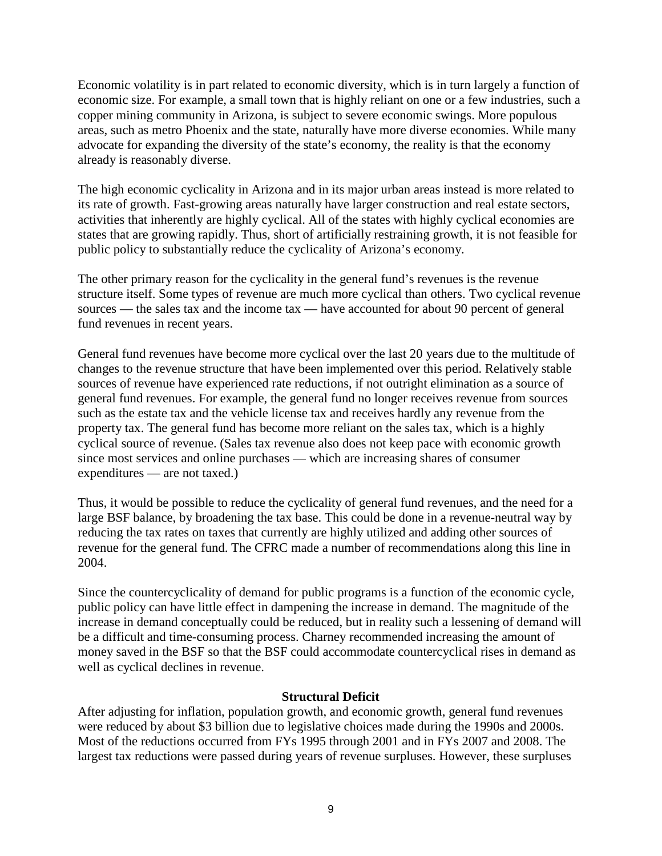Economic volatility is in part related to economic diversity, which is in turn largely a function of economic size. For example, a small town that is highly reliant on one or a few industries, such a copper mining community in Arizona, is subject to severe economic swings. More populous areas, such as metro Phoenix and the state, naturally have more diverse economies. While many advocate for expanding the diversity of the state's economy, the reality is that the economy already is reasonably diverse.

The high economic cyclicality in Arizona and in its major urban areas instead is more related to its rate of growth. Fast-growing areas naturally have larger construction and real estate sectors, activities that inherently are highly cyclical. All of the states with highly cyclical economies are states that are growing rapidly. Thus, short of artificially restraining growth, it is not feasible for public policy to substantially reduce the cyclicality of Arizona's economy.

The other primary reason for the cyclicality in the general fund's revenues is the revenue structure itself. Some types of revenue are much more cyclical than others. Two cyclical revenue sources — the sales tax and the income tax — have accounted for about 90 percent of general fund revenues in recent years.

General fund revenues have become more cyclical over the last 20 years due to the multitude of changes to the revenue structure that have been implemented over this period. Relatively stable sources of revenue have experienced rate reductions, if not outright elimination as a source of general fund revenues. For example, the general fund no longer receives revenue from sources such as the estate tax and the vehicle license tax and receives hardly any revenue from the property tax. The general fund has become more reliant on the sales tax, which is a highly cyclical source of revenue. (Sales tax revenue also does not keep pace with economic growth since most services and online purchases — which are increasing shares of consumer expenditures — are not taxed.)

Thus, it would be possible to reduce the cyclicality of general fund revenues, and the need for a large BSF balance, by broadening the tax base. This could be done in a revenue-neutral way by reducing the tax rates on taxes that currently are highly utilized and adding other sources of revenue for the general fund. The CFRC made a number of recommendations along this line in 2004.

Since the countercyclicality of demand for public programs is a function of the economic cycle, public policy can have little effect in dampening the increase in demand. The magnitude of the increase in demand conceptually could be reduced, but in reality such a lessening of demand will be a difficult and time-consuming process. Charney recommended increasing the amount of money saved in the BSF so that the BSF could accommodate countercyclical rises in demand as well as cyclical declines in revenue.

#### **Structural Deficit**

After adjusting for inflation, population growth, and economic growth, general fund revenues were reduced by about \$3 billion due to legislative choices made during the 1990s and 2000s. Most of the reductions occurred from FYs 1995 through 2001 and in FYs 2007 and 2008. The largest tax reductions were passed during years of revenue surpluses. However, these surpluses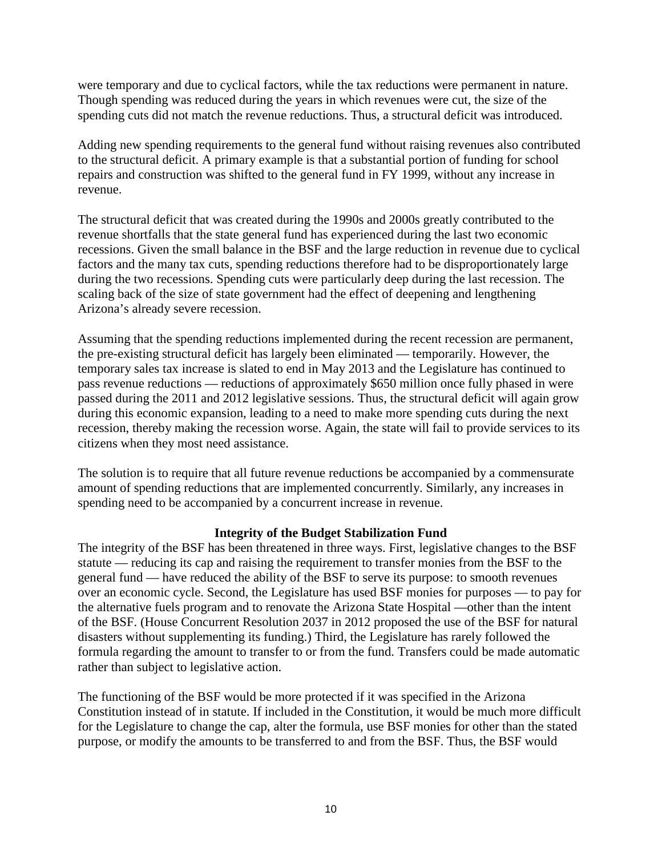were temporary and due to cyclical factors, while the tax reductions were permanent in nature. Though spending was reduced during the years in which revenues were cut, the size of the spending cuts did not match the revenue reductions. Thus, a structural deficit was introduced.

Adding new spending requirements to the general fund without raising revenues also contributed to the structural deficit. A primary example is that a substantial portion of funding for school repairs and construction was shifted to the general fund in FY 1999, without any increase in revenue.

The structural deficit that was created during the 1990s and 2000s greatly contributed to the revenue shortfalls that the state general fund has experienced during the last two economic recessions. Given the small balance in the BSF and the large reduction in revenue due to cyclical factors and the many tax cuts, spending reductions therefore had to be disproportionately large during the two recessions. Spending cuts were particularly deep during the last recession. The scaling back of the size of state government had the effect of deepening and lengthening Arizona's already severe recession.

Assuming that the spending reductions implemented during the recent recession are permanent, the pre-existing structural deficit has largely been eliminated — temporarily. However, the temporary sales tax increase is slated to end in May 2013 and the Legislature has continued to pass revenue reductions — reductions of approximately \$650 million once fully phased in were passed during the 2011 and 2012 legislative sessions. Thus, the structural deficit will again grow during this economic expansion, leading to a need to make more spending cuts during the next recession, thereby making the recession worse. Again, the state will fail to provide services to its citizens when they most need assistance.

The solution is to require that all future revenue reductions be accompanied by a commensurate amount of spending reductions that are implemented concurrently. Similarly, any increases in spending need to be accompanied by a concurrent increase in revenue.

#### **Integrity of the Budget Stabilization Fund**

The integrity of the BSF has been threatened in three ways. First, legislative changes to the BSF statute — reducing its cap and raising the requirement to transfer monies from the BSF to the general fund — have reduced the ability of the BSF to serve its purpose: to smooth revenues over an economic cycle. Second, the Legislature has used BSF monies for purposes — to pay for the alternative fuels program and to renovate the Arizona State Hospital —other than the intent of the BSF. (House Concurrent Resolution 2037 in 2012 proposed the use of the BSF for natural disasters without supplementing its funding.) Third, the Legislature has rarely followed the formula regarding the amount to transfer to or from the fund. Transfers could be made automatic rather than subject to legislative action.

The functioning of the BSF would be more protected if it was specified in the Arizona Constitution instead of in statute. If included in the Constitution, it would be much more difficult for the Legislature to change the cap, alter the formula, use BSF monies for other than the stated purpose, or modify the amounts to be transferred to and from the BSF. Thus, the BSF would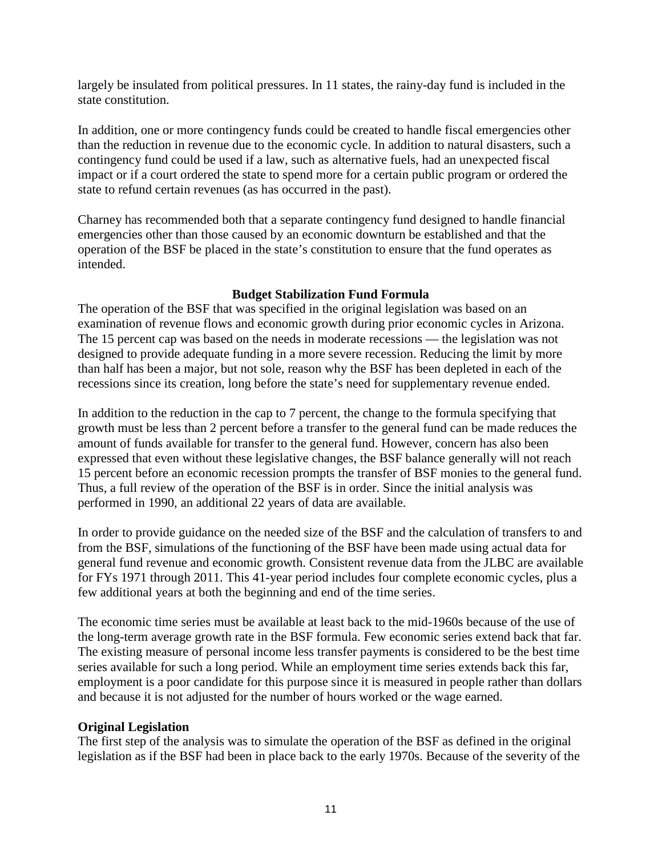largely be insulated from political pressures. In 11 states, the rainy-day fund is included in the state constitution.

In addition, one or more contingency funds could be created to handle fiscal emergencies other than the reduction in revenue due to the economic cycle. In addition to natural disasters, such a contingency fund could be used if a law, such as alternative fuels, had an unexpected fiscal impact or if a court ordered the state to spend more for a certain public program or ordered the state to refund certain revenues (as has occurred in the past).

Charney has recommended both that a separate contingency fund designed to handle financial emergencies other than those caused by an economic downturn be established and that the operation of the BSF be placed in the state's constitution to ensure that the fund operates as intended.

## **Budget Stabilization Fund Formula**

The operation of the BSF that was specified in the original legislation was based on an examination of revenue flows and economic growth during prior economic cycles in Arizona. The 15 percent cap was based on the needs in moderate recessions — the legislation was not designed to provide adequate funding in a more severe recession. Reducing the limit by more than half has been a major, but not sole, reason why the BSF has been depleted in each of the recessions since its creation, long before the state's need for supplementary revenue ended.

In addition to the reduction in the cap to 7 percent, the change to the formula specifying that growth must be less than 2 percent before a transfer to the general fund can be made reduces the amount of funds available for transfer to the general fund. However, concern has also been expressed that even without these legislative changes, the BSF balance generally will not reach 15 percent before an economic recession prompts the transfer of BSF monies to the general fund. Thus, a full review of the operation of the BSF is in order. Since the initial analysis was performed in 1990, an additional 22 years of data are available.

In order to provide guidance on the needed size of the BSF and the calculation of transfers to and from the BSF, simulations of the functioning of the BSF have been made using actual data for general fund revenue and economic growth. Consistent revenue data from the JLBC are available for FYs 1971 through 2011. This 41-year period includes four complete economic cycles, plus a few additional years at both the beginning and end of the time series.

The economic time series must be available at least back to the mid-1960s because of the use of the long-term average growth rate in the BSF formula. Few economic series extend back that far. The existing measure of personal income less transfer payments is considered to be the best time series available for such a long period. While an employment time series extends back this far, employment is a poor candidate for this purpose since it is measured in people rather than dollars and because it is not adjusted for the number of hours worked or the wage earned.

## **Original Legislation**

The first step of the analysis was to simulate the operation of the BSF as defined in the original legislation as if the BSF had been in place back to the early 1970s. Because of the severity of the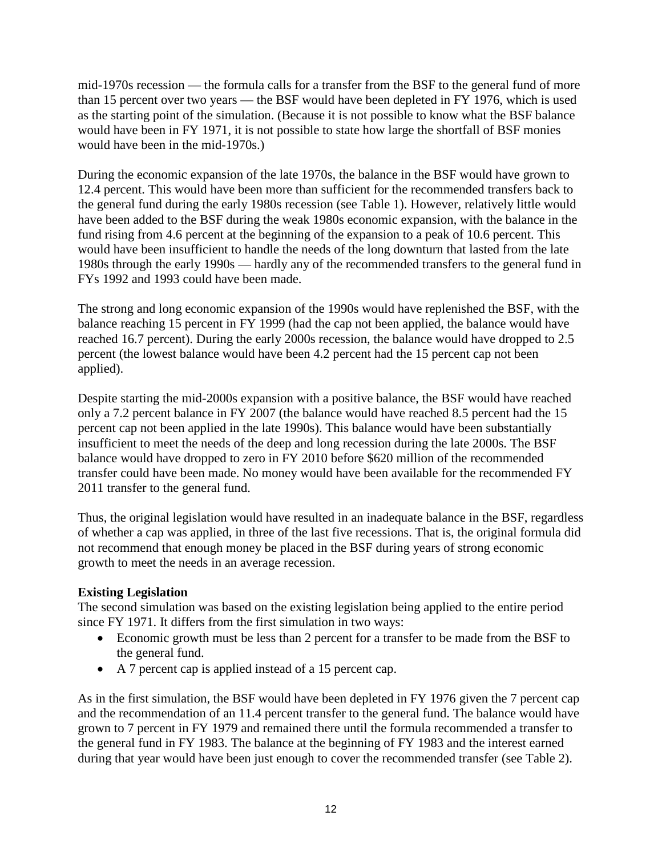mid-1970s recession — the formula calls for a transfer from the BSF to the general fund of more than 15 percent over two years — the BSF would have been depleted in FY 1976, which is used as the starting point of the simulation. (Because it is not possible to know what the BSF balance would have been in FY 1971, it is not possible to state how large the shortfall of BSF monies would have been in the mid-1970s.)

During the economic expansion of the late 1970s, the balance in the BSF would have grown to 12.4 percent. This would have been more than sufficient for the recommended transfers back to the general fund during the early 1980s recession (see Table 1). However, relatively little would have been added to the BSF during the weak 1980s economic expansion, with the balance in the fund rising from 4.6 percent at the beginning of the expansion to a peak of 10.6 percent. This would have been insufficient to handle the needs of the long downturn that lasted from the late 1980s through the early 1990s — hardly any of the recommended transfers to the general fund in FYs 1992 and 1993 could have been made.

The strong and long economic expansion of the 1990s would have replenished the BSF, with the balance reaching 15 percent in FY 1999 (had the cap not been applied, the balance would have reached 16.7 percent). During the early 2000s recession, the balance would have dropped to 2.5 percent (the lowest balance would have been 4.2 percent had the 15 percent cap not been applied).

Despite starting the mid-2000s expansion with a positive balance, the BSF would have reached only a 7.2 percent balance in FY 2007 (the balance would have reached 8.5 percent had the 15 percent cap not been applied in the late 1990s). This balance would have been substantially insufficient to meet the needs of the deep and long recession during the late 2000s. The BSF balance would have dropped to zero in FY 2010 before \$620 million of the recommended transfer could have been made. No money would have been available for the recommended FY 2011 transfer to the general fund.

Thus, the original legislation would have resulted in an inadequate balance in the BSF, regardless of whether a cap was applied, in three of the last five recessions. That is, the original formula did not recommend that enough money be placed in the BSF during years of strong economic growth to meet the needs in an average recession.

## **Existing Legislation**

The second simulation was based on the existing legislation being applied to the entire period since FY 1971. It differs from the first simulation in two ways:

- Economic growth must be less than 2 percent for a transfer to be made from the BSF to the general fund.
- A 7 percent cap is applied instead of a 15 percent cap.

As in the first simulation, the BSF would have been depleted in FY 1976 given the 7 percent cap and the recommendation of an 11.4 percent transfer to the general fund. The balance would have grown to 7 percent in FY 1979 and remained there until the formula recommended a transfer to the general fund in FY 1983. The balance at the beginning of FY 1983 and the interest earned during that year would have been just enough to cover the recommended transfer (see Table 2).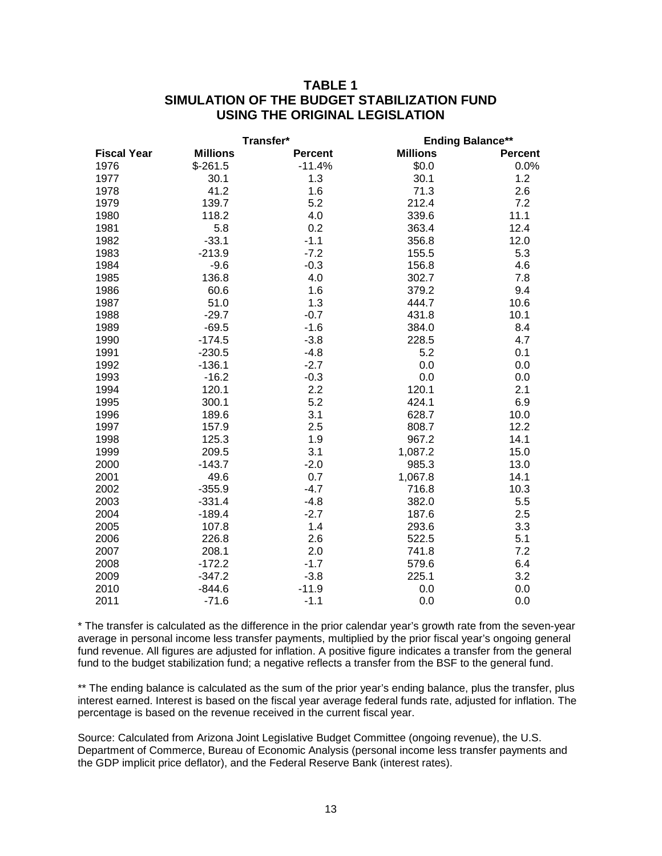## **TABLE 1 SIMULATION OF THE BUDGET STABILIZATION FUND USING THE ORIGINAL LEGISLATION**

|                    |                 | Transfer*      |                 | <b>Ending Balance**</b> |  |  |
|--------------------|-----------------|----------------|-----------------|-------------------------|--|--|
| <b>Fiscal Year</b> | <b>Millions</b> | <b>Percent</b> | <b>Millions</b> | <b>Percent</b>          |  |  |
| 1976               | $$-261.5$       | $-11.4%$       | \$0.0           | 0.0%                    |  |  |
| 1977               | 30.1            | 1.3            | 30.1            | 1.2                     |  |  |
| 1978               | 41.2            | 1.6            | 71.3            | 2.6                     |  |  |
| 1979               | 139.7           | 5.2            | 212.4           | 7.2                     |  |  |
| 1980               | 118.2           | 4.0            | 339.6           | 11.1                    |  |  |
| 1981               | 5.8             | 0.2            | 363.4           | 12.4                    |  |  |
| 1982               | $-33.1$         | $-1.1$         | 356.8           | 12.0                    |  |  |
| 1983               | $-213.9$        | $-7.2$         | 155.5           | 5.3                     |  |  |
| 1984               | $-9.6$          | $-0.3$         | 156.8           | 4.6                     |  |  |
| 1985               | 136.8           | 4.0            | 302.7           | 7.8                     |  |  |
| 1986               | 60.6            | 1.6            | 379.2           | 9.4                     |  |  |
| 1987               | 51.0            | 1.3            | 444.7           | 10.6                    |  |  |
| 1988               | $-29.7$         | $-0.7$         | 431.8           | 10.1                    |  |  |
| 1989               | $-69.5$         | $-1.6$         | 384.0           | 8.4                     |  |  |
| 1990               | $-174.5$        | $-3.8$         | 228.5           | 4.7                     |  |  |
| 1991               | $-230.5$        | $-4.8$         | 5.2             | 0.1                     |  |  |
| 1992               | $-136.1$        | $-2.7$         | 0.0             | 0.0                     |  |  |
| 1993               | $-16.2$         | $-0.3$         | 0.0             | 0.0                     |  |  |
| 1994               | 120.1           | 2.2            | 120.1           | 2.1                     |  |  |
| 1995               | 300.1           | 5.2            | 424.1           | 6.9                     |  |  |
| 1996               | 189.6           | 3.1            | 628.7           | 10.0                    |  |  |
| 1997               | 157.9           | 2.5            | 808.7           | 12.2                    |  |  |
| 1998               | 125.3           | 1.9            | 967.2           | 14.1                    |  |  |
| 1999               | 209.5           | 3.1            | 1,087.2         | 15.0                    |  |  |
| 2000               | $-143.7$        | $-2.0$         | 985.3           | 13.0                    |  |  |
| 2001               | 49.6            | 0.7            | 1,067.8         | 14.1                    |  |  |
| 2002               | $-355.9$        | $-4.7$         | 716.8           | 10.3                    |  |  |
| 2003               | $-331.4$        | $-4.8$         | 382.0           | 5.5                     |  |  |
| 2004               | $-189.4$        | $-2.7$         | 187.6           | 2.5                     |  |  |
| 2005               | 107.8           | 1.4            | 293.6           | 3.3                     |  |  |
| 2006               | 226.8           | 2.6            | 522.5           | 5.1                     |  |  |
| 2007               | 208.1           | 2.0            | 741.8           | 7.2                     |  |  |
| 2008               | $-172.2$        | $-1.7$         | 579.6           | 6.4                     |  |  |
| 2009               | $-347.2$        | $-3.8$         | 225.1           | 3.2                     |  |  |
| 2010               | $-844.6$        | $-11.9$        | 0.0             | 0.0                     |  |  |
| 2011               | $-71.6$         | $-1.1$         | 0.0             | 0.0                     |  |  |

\* The transfer is calculated as the difference in the prior calendar year's growth rate from the seven-year average in personal income less transfer payments, multiplied by the prior fiscal year's ongoing general fund revenue. All figures are adjusted for inflation. A positive figure indicates a transfer from the general fund to the budget stabilization fund; a negative reflects a transfer from the BSF to the general fund.

\*\* The ending balance is calculated as the sum of the prior year's ending balance, plus the transfer, plus interest earned. Interest is based on the fiscal year average federal funds rate, adjusted for inflation. The percentage is based on the revenue received in the current fiscal year.

Source: Calculated from Arizona Joint Legislative Budget Committee (ongoing revenue), the U.S. Department of Commerce, Bureau of Economic Analysis (personal income less transfer payments and the GDP implicit price deflator), and the Federal Reserve Bank (interest rates).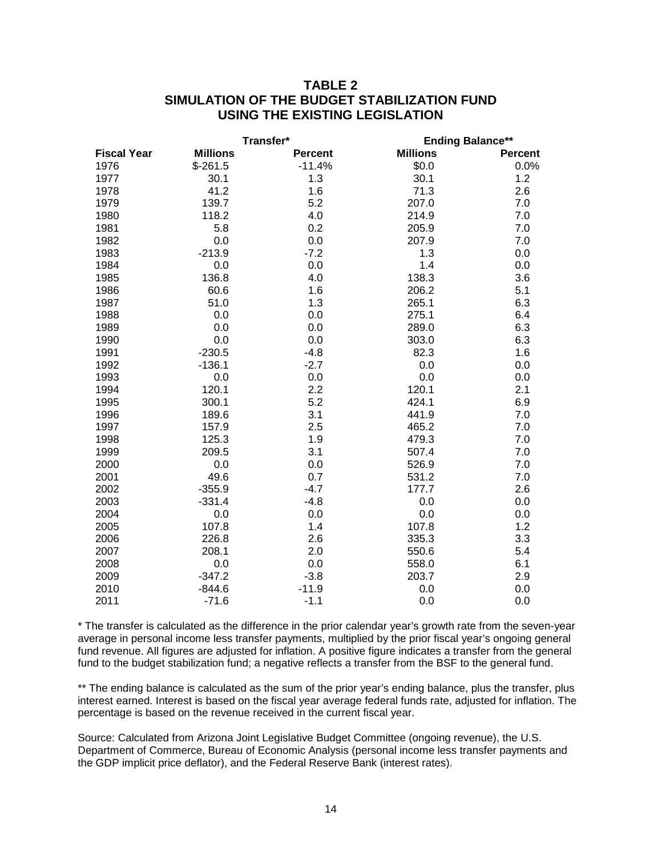## **TABLE 2 SIMULATION OF THE BUDGET STABILIZATION FUND USING THE EXISTING LEGISLATION**

|                    |                 | Transfer*      | <b>Ending Balance**</b> |                |
|--------------------|-----------------|----------------|-------------------------|----------------|
| <b>Fiscal Year</b> | <b>Millions</b> | <b>Percent</b> | <b>Millions</b>         | <b>Percent</b> |
| 1976               | $$-261.5$       | $-11.4%$       | \$0.0                   | 0.0%           |
| 1977               | 30.1            | 1.3            | 30.1                    | 1.2            |
| 1978               | 41.2            | 1.6            | 71.3                    | 2.6            |
| 1979               | 139.7           | 5.2            | 207.0                   | 7.0            |
| 1980               | 118.2           | 4.0            | 214.9                   | 7.0            |
| 1981               | 5.8             | 0.2            | 205.9                   | 7.0            |
| 1982               | 0.0             | 0.0            | 207.9                   | 7.0            |
| 1983               | $-213.9$        | $-7.2$         | 1.3                     | 0.0            |
| 1984               | 0.0             | 0.0            | 1.4                     | 0.0            |
| 1985               | 136.8           | 4.0            | 138.3                   | 3.6            |
| 1986               | 60.6            | 1.6            | 206.2                   | 5.1            |
| 1987               | 51.0            | 1.3            | 265.1                   | 6.3            |
| 1988               | 0.0             | 0.0            | 275.1                   | 6.4            |
| 1989               | 0.0             | 0.0            | 289.0                   | 6.3            |
| 1990               | 0.0             | 0.0            | 303.0                   | 6.3            |
| 1991               | $-230.5$        | $-4.8$         | 82.3                    | 1.6            |
| 1992               | $-136.1$        | $-2.7$         | 0.0                     | 0.0            |
| 1993               | 0.0             | 0.0            | 0.0                     | 0.0            |
| 1994               | 120.1           | 2.2            | 120.1                   | 2.1            |
| 1995               | 300.1           | 5.2            | 424.1                   | 6.9            |
| 1996               | 189.6           | 3.1            | 441.9                   | 7.0            |
| 1997               | 157.9           | 2.5            | 465.2                   | 7.0            |
| 1998               | 125.3           | 1.9            | 479.3                   | 7.0            |
| 1999               | 209.5           | 3.1            | 507.4                   | 7.0            |
| 2000               | 0.0             | 0.0            | 526.9                   | 7.0            |
| 2001               | 49.6            | 0.7            | 531.2                   | 7.0            |
| 2002               | $-355.9$        | $-4.7$         | 177.7                   | 2.6            |
| 2003               | $-331.4$        | $-4.8$         | 0.0                     | 0.0            |
| 2004               | 0.0             | 0.0            | 0.0                     | 0.0            |
| 2005               | 107.8           | 1.4            | 107.8                   | 1.2            |
| 2006               | 226.8           | 2.6            | 335.3                   | 3.3            |
| 2007               | 208.1           | 2.0            | 550.6                   | 5.4            |
| 2008               | 0.0             | 0.0            | 558.0                   | 6.1            |
| 2009               | $-347.2$        | $-3.8$         | 203.7                   | 2.9            |
| 2010               | $-844.6$        | $-11.9$        | 0.0                     | 0.0            |
| 2011               | $-71.6$         | $-1.1$         | 0.0                     | 0.0            |

\* The transfer is calculated as the difference in the prior calendar year's growth rate from the seven-year average in personal income less transfer payments, multiplied by the prior fiscal year's ongoing general fund revenue. All figures are adjusted for inflation. A positive figure indicates a transfer from the general fund to the budget stabilization fund; a negative reflects a transfer from the BSF to the general fund.

\*\* The ending balance is calculated as the sum of the prior year's ending balance, plus the transfer, plus interest earned. Interest is based on the fiscal year average federal funds rate, adjusted for inflation. The percentage is based on the revenue received in the current fiscal year.

Source: Calculated from Arizona Joint Legislative Budget Committee (ongoing revenue), the U.S. Department of Commerce, Bureau of Economic Analysis (personal income less transfer payments and the GDP implicit price deflator), and the Federal Reserve Bank (interest rates).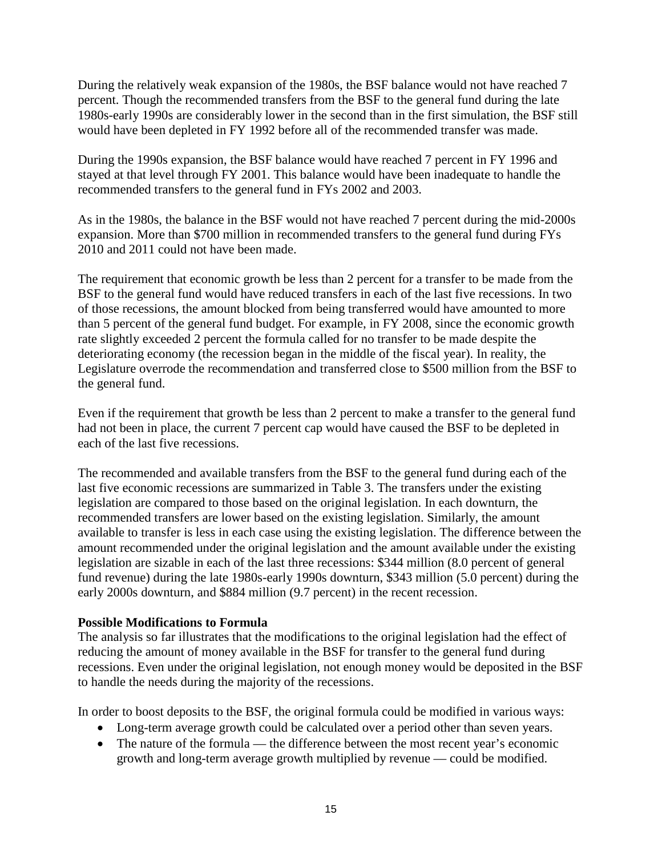During the relatively weak expansion of the 1980s, the BSF balance would not have reached 7 percent. Though the recommended transfers from the BSF to the general fund during the late 1980s-early 1990s are considerably lower in the second than in the first simulation, the BSF still would have been depleted in FY 1992 before all of the recommended transfer was made.

During the 1990s expansion, the BSF balance would have reached 7 percent in FY 1996 and stayed at that level through FY 2001. This balance would have been inadequate to handle the recommended transfers to the general fund in FYs 2002 and 2003.

As in the 1980s, the balance in the BSF would not have reached 7 percent during the mid-2000s expansion. More than \$700 million in recommended transfers to the general fund during FYs 2010 and 2011 could not have been made.

The requirement that economic growth be less than 2 percent for a transfer to be made from the BSF to the general fund would have reduced transfers in each of the last five recessions. In two of those recessions, the amount blocked from being transferred would have amounted to more than 5 percent of the general fund budget. For example, in FY 2008, since the economic growth rate slightly exceeded 2 percent the formula called for no transfer to be made despite the deteriorating economy (the recession began in the middle of the fiscal year). In reality, the Legislature overrode the recommendation and transferred close to \$500 million from the BSF to the general fund.

Even if the requirement that growth be less than 2 percent to make a transfer to the general fund had not been in place, the current 7 percent cap would have caused the BSF to be depleted in each of the last five recessions.

The recommended and available transfers from the BSF to the general fund during each of the last five economic recessions are summarized in Table 3. The transfers under the existing legislation are compared to those based on the original legislation. In each downturn, the recommended transfers are lower based on the existing legislation. Similarly, the amount available to transfer is less in each case using the existing legislation. The difference between the amount recommended under the original legislation and the amount available under the existing legislation are sizable in each of the last three recessions: \$344 million (8.0 percent of general fund revenue) during the late 1980s-early 1990s downturn, \$343 million (5.0 percent) during the early 2000s downturn, and \$884 million (9.7 percent) in the recent recession.

#### **Possible Modifications to Formula**

The analysis so far illustrates that the modifications to the original legislation had the effect of reducing the amount of money available in the BSF for transfer to the general fund during recessions. Even under the original legislation, not enough money would be deposited in the BSF to handle the needs during the majority of the recessions.

In order to boost deposits to the BSF, the original formula could be modified in various ways:

- Long-term average growth could be calculated over a period other than seven years.
- The nature of the formula the difference between the most recent year's economic growth and long-term average growth multiplied by revenue — could be modified.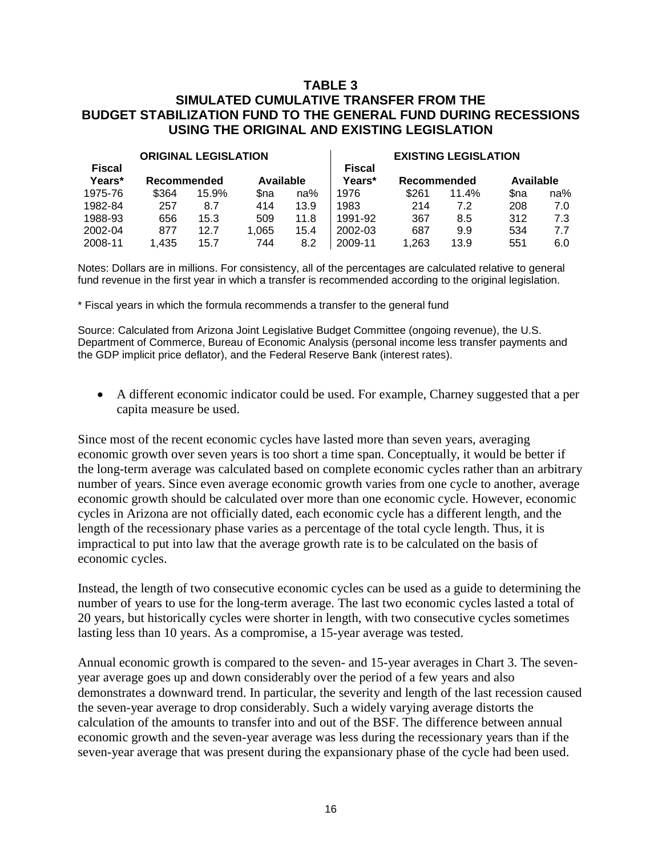### **TABLE 3 SIMULATED CUMULATIVE TRANSFER FROM THE BUDGET STABILIZATION FUND TO THE GENERAL FUND DURING RECESSIONS USING THE ORIGINAL AND EXISTING LEGISLATION**

| <b>ORIGINAL LEGISLATION</b> |             |       |           | <b>EXISTING LEGISLATION</b> |                         |             |       |           |     |
|-----------------------------|-------------|-------|-----------|-----------------------------|-------------------------|-------------|-------|-----------|-----|
| <b>Fiscal</b><br>Years*     | Recommended |       | Available |                             | <b>Fiscal</b><br>Years* | Recommended |       | Available |     |
| 1975-76                     | \$364       | 15.9% | Sna       | na%                         | 1976                    | \$261       | 11.4% | \$na      | na% |
| 1982-84                     | 257         | 8.7   | 414       | 13.9                        | 1983                    | 214         | 7.2   | 208       | 7.0 |
| 1988-93                     | 656         | 15.3  | 509       | 11.8                        | 1991-92                 | 367         | 8.5   | 312       | 7.3 |
| 2002-04                     | 877         | 12.7  | 1.065     | 15.4                        | 2002-03                 | 687         | 9.9   | 534       | 7.7 |
| 2008-11                     | 1,435       | 15.7  | 744       | 8.2                         | 2009-11                 | .263        | 13.9  | 551       | 6.0 |

Notes: Dollars are in millions. For consistency, all of the percentages are calculated relative to general fund revenue in the first year in which a transfer is recommended according to the original legislation.

\* Fiscal years in which the formula recommends a transfer to the general fund

Source: Calculated from Arizona Joint Legislative Budget Committee (ongoing revenue), the U.S. Department of Commerce, Bureau of Economic Analysis (personal income less transfer payments and the GDP implicit price deflator), and the Federal Reserve Bank (interest rates).

• A different economic indicator could be used. For example, Charney suggested that a per capita measure be used.

Since most of the recent economic cycles have lasted more than seven years, averaging economic growth over seven years is too short a time span. Conceptually, it would be better if the long-term average was calculated based on complete economic cycles rather than an arbitrary number of years. Since even average economic growth varies from one cycle to another, average economic growth should be calculated over more than one economic cycle. However, economic cycles in Arizona are not officially dated, each economic cycle has a different length, and the length of the recessionary phase varies as a percentage of the total cycle length. Thus, it is impractical to put into law that the average growth rate is to be calculated on the basis of economic cycles.

Instead, the length of two consecutive economic cycles can be used as a guide to determining the number of years to use for the long-term average. The last two economic cycles lasted a total of 20 years, but historically cycles were shorter in length, with two consecutive cycles sometimes lasting less than 10 years. As a compromise, a 15-year average was tested.

Annual economic growth is compared to the seven- and 15-year averages in Chart 3. The sevenyear average goes up and down considerably over the period of a few years and also demonstrates a downward trend. In particular, the severity and length of the last recession caused the seven-year average to drop considerably. Such a widely varying average distorts the calculation of the amounts to transfer into and out of the BSF. The difference between annual economic growth and the seven-year average was less during the recessionary years than if the seven-year average that was present during the expansionary phase of the cycle had been used.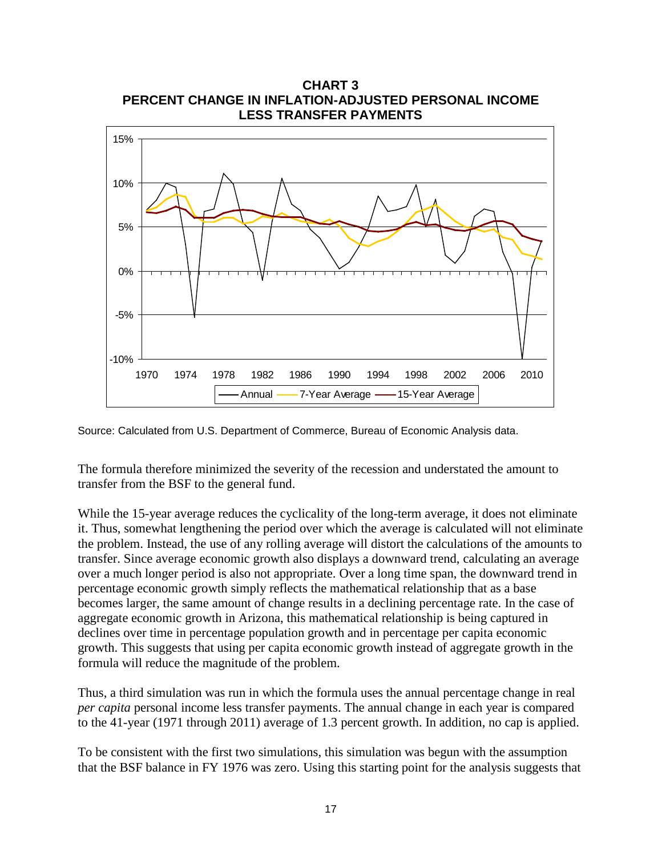

**CHART 3 PERCENT CHANGE IN INFLATION-ADJUSTED PERSONAL INCOME**

Source: Calculated from U.S. Department of Commerce, Bureau of Economic Analysis data.

The formula therefore minimized the severity of the recession and understated the amount to transfer from the BSF to the general fund.

While the 15-year average reduces the cyclicality of the long-term average, it does not eliminate it. Thus, somewhat lengthening the period over which the average is calculated will not eliminate the problem. Instead, the use of any rolling average will distort the calculations of the amounts to transfer. Since average economic growth also displays a downward trend, calculating an average over a much longer period is also not appropriate. Over a long time span, the downward trend in percentage economic growth simply reflects the mathematical relationship that as a base becomes larger, the same amount of change results in a declining percentage rate. In the case of aggregate economic growth in Arizona, this mathematical relationship is being captured in declines over time in percentage population growth and in percentage per capita economic growth. This suggests that using per capita economic growth instead of aggregate growth in the formula will reduce the magnitude of the problem.

Thus, a third simulation was run in which the formula uses the annual percentage change in real *per capita* personal income less transfer payments. The annual change in each year is compared to the 41-year (1971 through 2011) average of 1.3 percent growth. In addition, no cap is applied.

To be consistent with the first two simulations, this simulation was begun with the assumption that the BSF balance in FY 1976 was zero. Using this starting point for the analysis suggests that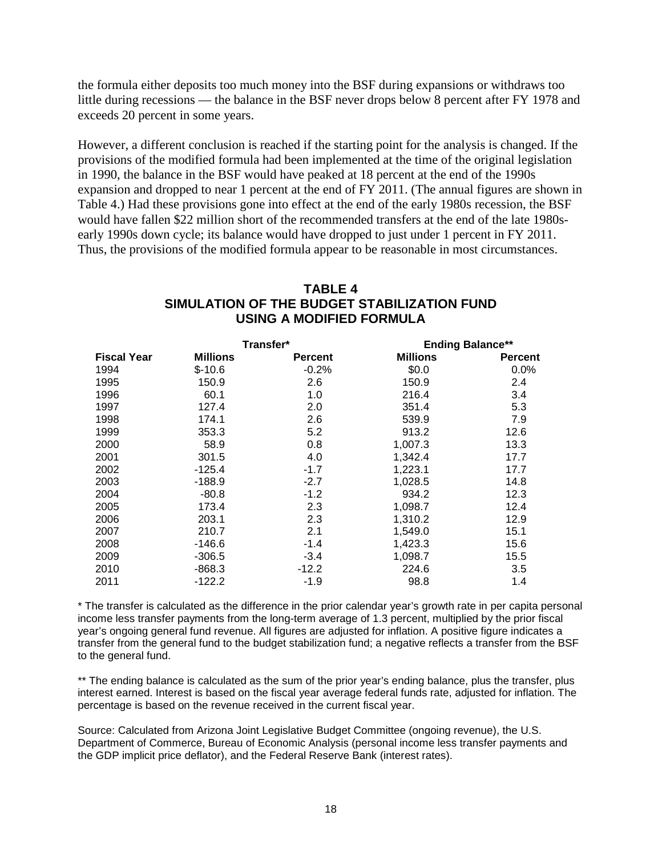the formula either deposits too much money into the BSF during expansions or withdraws too little during recessions — the balance in the BSF never drops below 8 percent after FY 1978 and exceeds 20 percent in some years.

However, a different conclusion is reached if the starting point for the analysis is changed. If the provisions of the modified formula had been implemented at the time of the original legislation in 1990, the balance in the BSF would have peaked at 18 percent at the end of the 1990s expansion and dropped to near 1 percent at the end of FY 2011. (The annual figures are shown in Table 4.) Had these provisions gone into effect at the end of the early 1980s recession, the BSF would have fallen \$22 million short of the recommended transfers at the end of the late 1980searly 1990s down cycle; its balance would have dropped to just under 1 percent in FY 2011. Thus, the provisions of the modified formula appear to be reasonable in most circumstances.

## **TABLE 4 SIMULATION OF THE BUDGET STABILIZATION FUND USING A MODIFIED FORMULA**

|                    |                 | Transfer*      |                 | <b>Ending Balance**</b> |  |
|--------------------|-----------------|----------------|-----------------|-------------------------|--|
| <b>Fiscal Year</b> | <b>Millions</b> | <b>Percent</b> | <b>Millions</b> | <b>Percent</b>          |  |
| 1994               | $$-10.6$        | $-0.2%$        | \$0.0           | $0.0\%$                 |  |
| 1995               | 150.9           | 2.6            | 150.9           | 2.4                     |  |
| 1996               | 60.1            | 1.0            | 216.4           | 3.4                     |  |
| 1997               | 127.4           | 2.0            | 351.4           | 5.3                     |  |
| 1998               | 174.1           | 2.6            | 539.9           | 7.9                     |  |
| 1999               | 353.3           | 5.2            | 913.2           | 12.6                    |  |
| 2000               | 58.9            | 0.8            | 1,007.3         | 13.3                    |  |
| 2001               | 301.5           | 4.0            | 1,342.4         | 17.7                    |  |
| 2002               | $-125.4$        | $-1.7$         | 1,223.1         | 17.7                    |  |
| 2003               | $-188.9$        | $-2.7$         | 1,028.5         | 14.8                    |  |
| 2004               | $-80.8$         | $-1.2$         | 934.2           | 12.3                    |  |
| 2005               | 173.4           | 2.3            | 1,098.7         | 12.4                    |  |
| 2006               | 203.1           | 2.3            | 1,310.2         | 12.9                    |  |
| 2007               | 210.7           | 2.1            | 1,549.0         | 15.1                    |  |
| 2008               | $-146.6$        | $-1.4$         | 1,423.3         | 15.6                    |  |
| 2009               | $-306.5$        | $-3.4$         | 1,098.7         | 15.5                    |  |
| 2010               | $-868.3$        | $-12.2$        | 224.6           | 3.5                     |  |
| 2011               | $-122.2$        | $-1.9$         | 98.8            | 1.4                     |  |

\* The transfer is calculated as the difference in the prior calendar year's growth rate in per capita personal income less transfer payments from the long-term average of 1.3 percent, multiplied by the prior fiscal year's ongoing general fund revenue. All figures are adjusted for inflation. A positive figure indicates a transfer from the general fund to the budget stabilization fund; a negative reflects a transfer from the BSF to the general fund.

\*\* The ending balance is calculated as the sum of the prior year's ending balance, plus the transfer, plus interest earned. Interest is based on the fiscal year average federal funds rate, adjusted for inflation. The percentage is based on the revenue received in the current fiscal year.

Source: Calculated from Arizona Joint Legislative Budget Committee (ongoing revenue), the U.S. Department of Commerce, Bureau of Economic Analysis (personal income less transfer payments and the GDP implicit price deflator), and the Federal Reserve Bank (interest rates).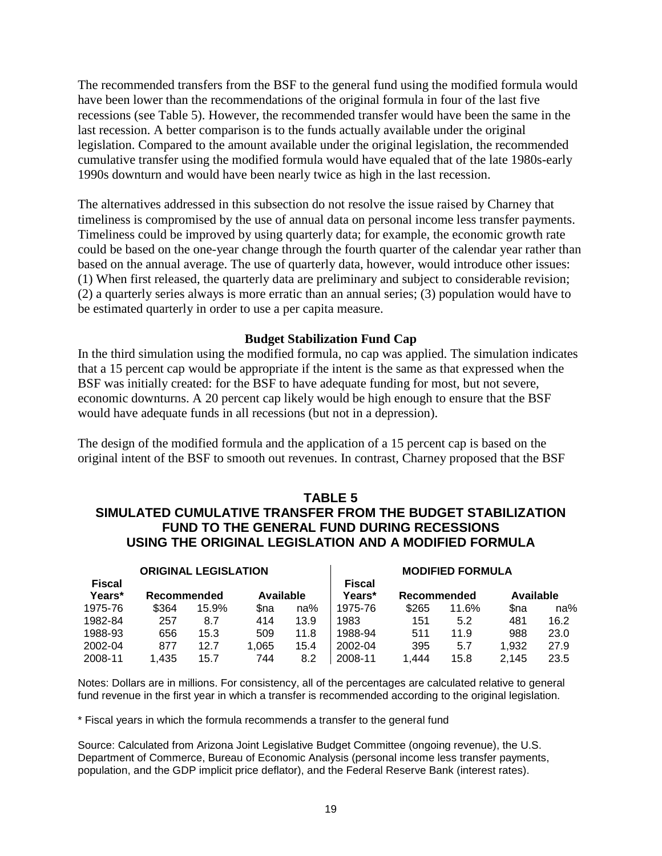The recommended transfers from the BSF to the general fund using the modified formula would have been lower than the recommendations of the original formula in four of the last five recessions (see Table 5). However, the recommended transfer would have been the same in the last recession. A better comparison is to the funds actually available under the original legislation. Compared to the amount available under the original legislation, the recommended cumulative transfer using the modified formula would have equaled that of the late 1980s-early 1990s downturn and would have been nearly twice as high in the last recession.

The alternatives addressed in this subsection do not resolve the issue raised by Charney that timeliness is compromised by the use of annual data on personal income less transfer payments. Timeliness could be improved by using quarterly data; for example, the economic growth rate could be based on the one-year change through the fourth quarter of the calendar year rather than based on the annual average. The use of quarterly data, however, would introduce other issues: (1) When first released, the quarterly data are preliminary and subject to considerable revision; (2) a quarterly series always is more erratic than an annual series; (3) population would have to be estimated quarterly in order to use a per capita measure.

#### **Budget Stabilization Fund Cap**

In the third simulation using the modified formula, no cap was applied. The simulation indicates that a 15 percent cap would be appropriate if the intent is the same as that expressed when the BSF was initially created: for the BSF to have adequate funding for most, but not severe, economic downturns. A 20 percent cap likely would be high enough to ensure that the BSF would have adequate funds in all recessions (but not in a depression).

The design of the modified formula and the application of a 15 percent cap is based on the original intent of the BSF to smooth out revenues. In contrast, Charney proposed that the BSF

#### **TABLE 5 SIMULATED CUMULATIVE TRANSFER FROM THE BUDGET STABILIZATION FUND TO THE GENERAL FUND DURING RECESSIONS USING THE ORIGINAL LEGISLATION AND A MODIFIED FORMULA**

| <b>ORIGINAL LEGISLATION</b> |             |       |           | <b>MODIFIED FORMULA</b> |                         |             |       |           |      |
|-----------------------------|-------------|-------|-----------|-------------------------|-------------------------|-------------|-------|-----------|------|
| <b>Fiscal</b><br>Years*     | Recommended |       | Available |                         | <b>Fiscal</b><br>Years* | Recommended |       | Available |      |
| 1975-76                     | \$364       | 15.9% | Sna       | na%                     | 1975-76                 | \$265       | 11.6% | Sna       | na%  |
| 1982-84                     | 257         | 8.7   | 414       | 13.9                    | 1983                    | 151         | 5.2   | 481       | 16.2 |
| 1988-93                     | 656         | 15.3  | 509       | 11.8                    | 1988-94                 | 511         | 11.9  | 988       | 23.0 |
| 2002-04                     | 877         | 12.7  | 1.065     | 15.4                    | 2002-04                 | 395         | 5.7   | 1.932     | 27.9 |
| 2008-11                     | .435        | 15.7  | 744       | 8.2                     | 2008-11                 | 1.444       | 15.8  | 2.145     | 23.5 |

Notes: Dollars are in millions. For consistency, all of the percentages are calculated relative to general fund revenue in the first year in which a transfer is recommended according to the original legislation.

\* Fiscal years in which the formula recommends a transfer to the general fund

Source: Calculated from Arizona Joint Legislative Budget Committee (ongoing revenue), the U.S. Department of Commerce, Bureau of Economic Analysis (personal income less transfer payments, population, and the GDP implicit price deflator), and the Federal Reserve Bank (interest rates).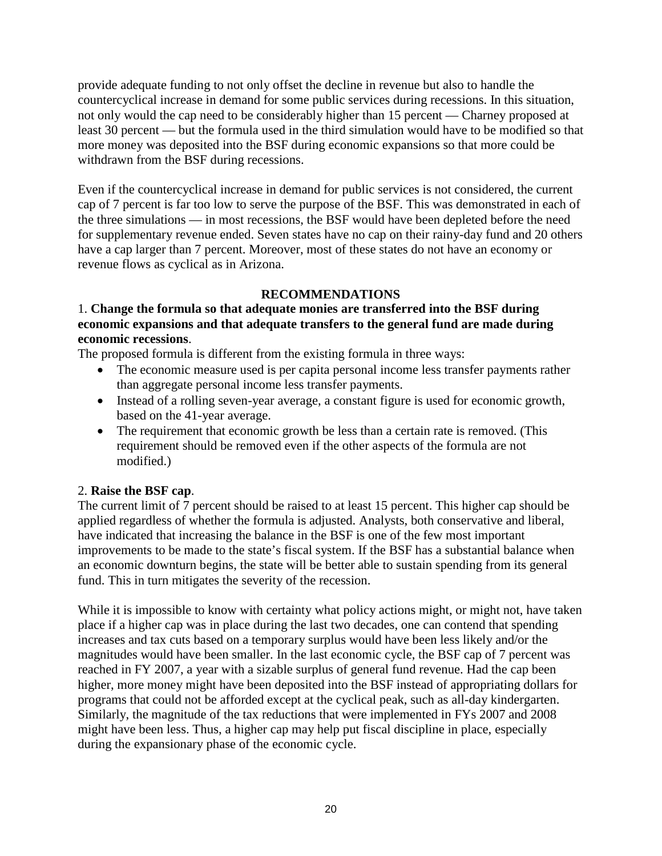provide adequate funding to not only offset the decline in revenue but also to handle the countercyclical increase in demand for some public services during recessions. In this situation, not only would the cap need to be considerably higher than 15 percent — Charney proposed at least 30 percent — but the formula used in the third simulation would have to be modified so that more money was deposited into the BSF during economic expansions so that more could be withdrawn from the BSF during recessions.

Even if the countercyclical increase in demand for public services is not considered, the current cap of 7 percent is far too low to serve the purpose of the BSF. This was demonstrated in each of the three simulations — in most recessions, the BSF would have been depleted before the need for supplementary revenue ended. Seven states have no cap on their rainy-day fund and 20 others have a cap larger than 7 percent. Moreover, most of these states do not have an economy or revenue flows as cyclical as in Arizona.

## **RECOMMENDATIONS**

## 1. **Change the formula so that adequate monies are transferred into the BSF during economic expansions and that adequate transfers to the general fund are made during economic recessions**.

The proposed formula is different from the existing formula in three ways:

- The economic measure used is per capita personal income less transfer payments rather than aggregate personal income less transfer payments.
- Instead of a rolling seven-year average, a constant figure is used for economic growth, based on the 41-year average.
- The requirement that economic growth be less than a certain rate is removed. (This requirement should be removed even if the other aspects of the formula are not modified.)

## 2. **Raise the BSF cap**.

The current limit of 7 percent should be raised to at least 15 percent. This higher cap should be applied regardless of whether the formula is adjusted. Analysts, both conservative and liberal, have indicated that increasing the balance in the BSF is one of the few most important improvements to be made to the state's fiscal system. If the BSF has a substantial balance when an economic downturn begins, the state will be better able to sustain spending from its general fund. This in turn mitigates the severity of the recession.

While it is impossible to know with certainty what policy actions might, or might not, have taken place if a higher cap was in place during the last two decades, one can contend that spending increases and tax cuts based on a temporary surplus would have been less likely and/or the magnitudes would have been smaller. In the last economic cycle, the BSF cap of 7 percent was reached in FY 2007, a year with a sizable surplus of general fund revenue. Had the cap been higher, more money might have been deposited into the BSF instead of appropriating dollars for programs that could not be afforded except at the cyclical peak, such as all-day kindergarten. Similarly, the magnitude of the tax reductions that were implemented in FYs 2007 and 2008 might have been less. Thus, a higher cap may help put fiscal discipline in place, especially during the expansionary phase of the economic cycle.